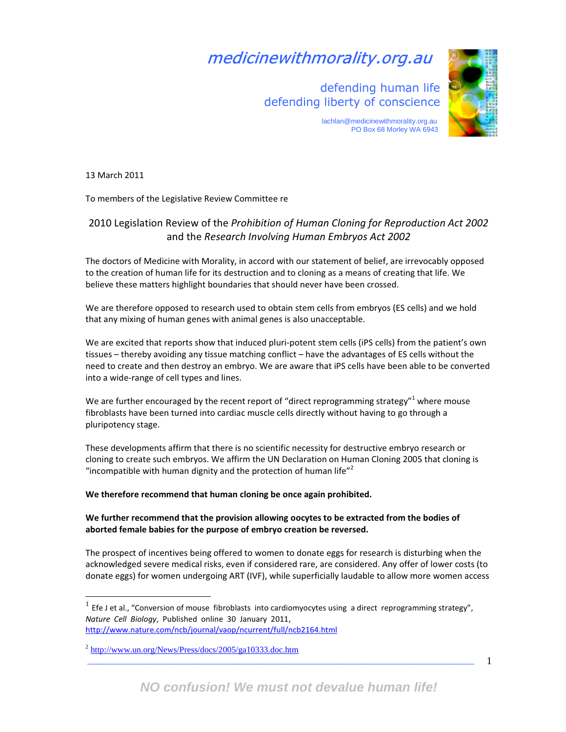# medicinewithmorality.org.au

 defending human life defending liberty of conscience



 lachlan@medicinewithmorality.org.au PO Box 68 Morley WA 6943

13 March 2011

 $\overline{a}$ 

To members of the Legislative Review Committee re

## 2010 Legislation Review of the Prohibition of Human Cloning for Reproduction Act 2002 and the Research Involving Human Embryos Act 2002

The doctors of Medicine with Morality, in accord with our statement of belief, are irrevocably opposed to the creation of human life for its destruction and to cloning as a means of creating that life. We believe these matters highlight boundaries that should never have been crossed.

We are therefore opposed to research used to obtain stem cells from embryos (ES cells) and we hold that any mixing of human genes with animal genes is also unacceptable.

We are excited that reports show that induced pluri-potent stem cells (iPS cells) from the patient's own tissues – thereby avoiding any tissue matching conflict – have the advantages of ES cells without the need to create and then destroy an embryo. We are aware that iPS cells have been able to be converted into a wide-range of cell types and lines.

We are further encouraged by the recent report of "direct reprogramming strategy"<sup>1</sup> where mouse fibroblasts have been turned into cardiac muscle cells directly without having to go through a pluripotency stage.

These developments affirm that there is no scientific necessity for destructive embryo research or cloning to create such embryos. We affirm the UN Declaration on Human Cloning 2005 that cloning is "incompatible with human dignity and the protection of human life" $2$ 

## We therefore recommend that human cloning be once again prohibited.

## We further recommend that the provision allowing oocytes to be extracted from the bodies of aborted female babies for the purpose of embryo creation be reversed.

The prospect of incentives being offered to women to donate eggs for research is disturbing when the acknowledged severe medical risks, even if considered rare, are considered. Any offer of lower costs (to donate eggs) for women undergoing ART (IVF), while superficially laudable to allow more women access

<sup>1</sup> Efe J et al., "Conversion of mouse fibroblasts into cardiomyocytes using a direct reprogramming strategy", Nature Cell Biology, Published online 30 January 2011, http://www.nature.com/ncb/journal/vaop/ncurrent/full/ncb2164.html

<sup>&</sup>lt;sup>2</sup> http://www.un.org/News/Press/docs/2005/ga10333.doc.htm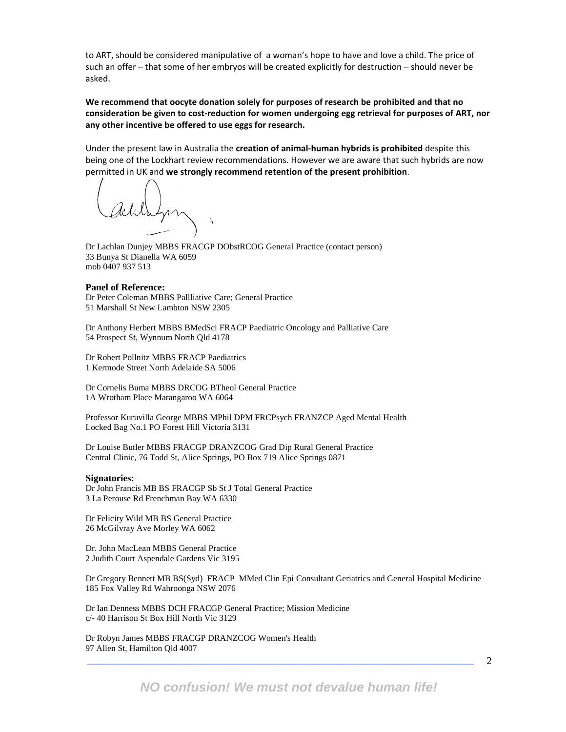to ART, should be considered manipulative of a woman's hope to have and love a child. The price of such an offer – that some of her embryos will be created explicitly for destruction – should never be asked.

We recommend that oocyte donation solely for purposes of research be prohibited and that no consideration be given to cost-reduction for women undergoing egg retrieval for purposes of ART, nor any other incentive be offered to use eggs for research.

Under the present law in Australia the creation of animal-human hybrids is prohibited despite this being one of the Lockhart review recommendations. However we are aware that such hybrids are now permitted in UK and we strongly recommend retention of the present prohibition.

Dr Lachlan Dunjey MBBS FRACGP DObstRCOG General Practice (contact person) 33 Bunya St Dianella WA 6059 mob 0407 937 513

### **Panel of Reference:**

Dr Peter Coleman MBBS Pallliative Care; General Practice 51 Marshall St New Lambton NSW 2305

Dr Anthony Herbert MBBS BMedSci FRACP Paediatric Oncology and Palliative Care 54 Prospect St, Wynnum North Qld 4178

Dr Robert Pollnitz MBBS FRACP Paediatrics 1 Kermode Street North Adelaide SA 5006

Dr Cornelis Buma MBBS DRCOG BTheol General Practice 1A Wrotham Place Marangaroo WA 6064

Professor Kuruvilla George MBBS MPhil DPM FRCPsych FRANZCP Aged Mental Health Locked Bag No.1 PO Forest Hill Victoria 3131

Dr Louise Butler MBBS FRACGP DRANZCOG Grad Dip Rural General Practice Central Clinic, 76 Todd St, Alice Springs, PO Box 719 Alice Springs 0871

#### **Signatories:**

Dr John Francis MB BS FRACGP Sb St J Total General Practice 3 La Perouse Rd Frenchman Bay WA 6330

Dr Felicity Wild MB BS General Practice 26 McGilvray Ave Morley WA 6062

Dr. John MacLean MBBS General Practice 2 Judith Court Aspendale Gardens Vic 3195

Dr Gregory Bennett MB BS(Syd) FRACP MMed Clin Epi Consultant Geriatrics and General Hospital Medicine 185 Fox Valley Rd Wahroonga NSW 2076

Dr Ian Denness MBBS DCH FRACGP General Practice; Mission Medicine c/- 40 Harrison St Box Hill North Vic 3129

Dr Robyn James MBBS FRACGP DRANZCOG Women's Health 97 Allen St, Hamilton Qld 4007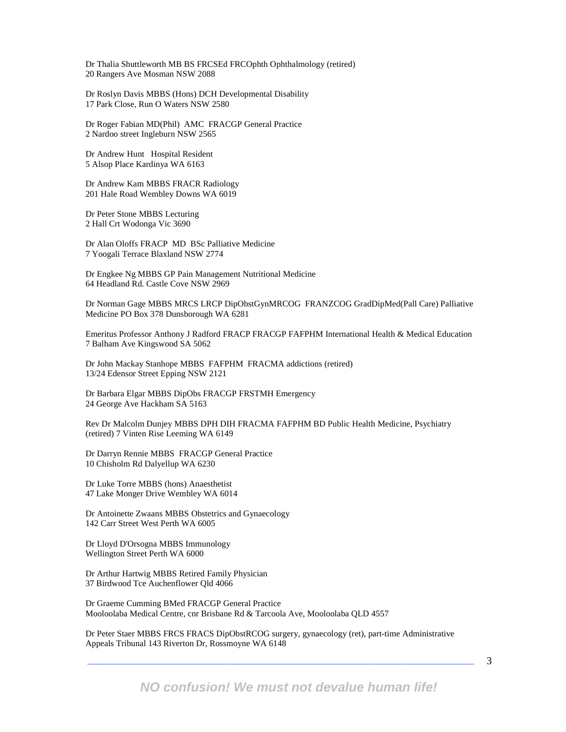Dr Thalia Shuttleworth MB BS FRCSEd FRCOphth Ophthalmology (retired) 20 Rangers Ave Mosman NSW 2088

Dr Roslyn Davis MBBS (Hons) DCH Developmental Disability 17 Park Close, Run O Waters NSW 2580

Dr Roger Fabian MD(Phil) AMC FRACGP General Practice 2 Nardoo street Ingleburn NSW 2565

Dr Andrew Hunt Hospital Resident 5 Alsop Place Kardinya WA 6163

Dr Andrew Kam MBBS FRACR Radiology 201 Hale Road Wembley Downs WA 6019

Dr Peter Stone MBBS Lecturing 2 Hall Crt Wodonga Vic 3690

Dr Alan Oloffs FRACP MD BSc Palliative Medicine 7 Yoogali Terrace Blaxland NSW 2774

Dr Engkee Ng MBBS GP Pain Management Nutritional Medicine 64 Headland Rd. Castle Cove NSW 2969

Dr Norman Gage MBBS MRCS LRCP DipObstGynMRCOG FRANZCOG GradDipMed(Pall Care) Palliative Medicine PO Box 378 Dunsborough WA 6281

Emeritus Professor Anthony J Radford FRACP FRACGP FAFPHM International Health & Medical Education 7 Balham Ave Kingswood SA 5062

Dr John Mackay Stanhope MBBS FAFPHM FRACMA addictions (retired) 13/24 Edensor Street Epping NSW 2121

Dr Barbara Elgar MBBS DipObs FRACGP FRSTMH Emergency 24 George Ave Hackham SA 5163

Rev Dr Malcolm Dunjey MBBS DPH DIH FRACMA FAFPHM BD Public Health Medicine, Psychiatry (retired) 7 Vinten Rise Leeming WA 6149

Dr Darryn Rennie MBBS FRACGP General Practice 10 Chisholm Rd Dalyellup WA 6230

Dr Luke Torre MBBS (hons) Anaesthetist 47 Lake Monger Drive Wembley WA 6014

Dr Antoinette Zwaans MBBS Obstetrics and Gynaecology 142 Carr Street West Perth WA 6005

Dr Lloyd D'Orsogna MBBS Immunology Wellington Street Perth WA 6000

Dr Arthur Hartwig MBBS Retired Family Physician 37 Birdwood Tce Auchenflower Qld 4066

Dr Graeme Cumming BMed FRACGP General Practice Mooloolaba Medical Centre, cnr Brisbane Rd & Tarcoola Ave, Mooloolaba QLD 4557

Dr Peter Staer MBBS FRCS FRACS DipObstRCOG surgery, gynaecology (ret), part-time Administrative Appeals Tribunal 143 Riverton Dr, Rossmoyne WA 6148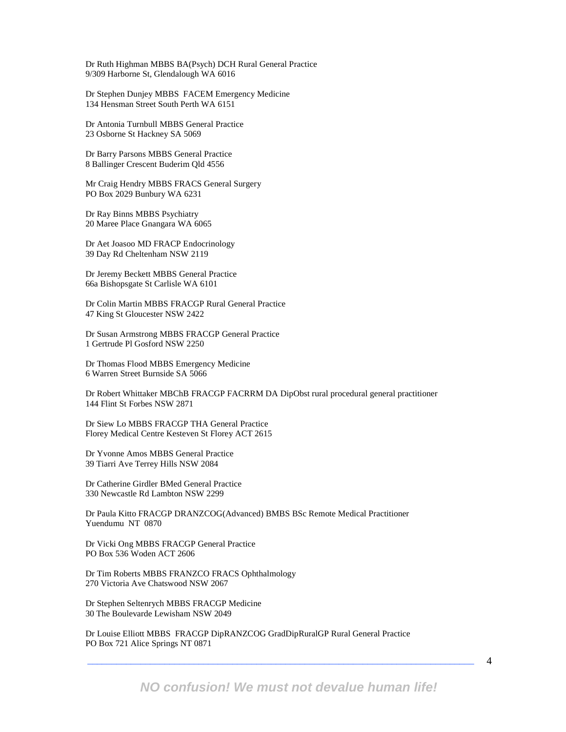Dr Ruth Highman MBBS BA(Psych) DCH Rural General Practice 9/309 Harborne St, Glendalough WA 6016

Dr Stephen Dunjey MBBS FACEM Emergency Medicine 134 Hensman Street South Perth WA 6151

Dr Antonia Turnbull MBBS General Practice 23 Osborne St Hackney SA 5069

Dr Barry Parsons MBBS General Practice 8 Ballinger Crescent Buderim Qld 4556

Mr Craig Hendry MBBS FRACS General Surgery PO Box 2029 Bunbury WA 6231

Dr Ray Binns MBBS Psychiatry 20 Maree Place Gnangara WA 6065

Dr Aet Joasoo MD FRACP Endocrinology 39 Day Rd Cheltenham NSW 2119

Dr Jeremy Beckett MBBS General Practice 66a Bishopsgate St Carlisle WA 6101

Dr Colin Martin MBBS FRACGP Rural General Practice 47 King St Gloucester NSW 2422

Dr Susan Armstrong MBBS FRACGP General Practice 1 Gertrude Pl Gosford NSW 2250

Dr Thomas Flood MBBS Emergency Medicine 6 Warren Street Burnside SA 5066

Dr Robert Whittaker MBChB FRACGP FACRRM DA DipObst rural procedural general practitioner 144 Flint St Forbes NSW 2871

Dr Siew Lo MBBS FRACGP THA General Practice Florey Medical Centre Kesteven St Florey ACT 2615

Dr Yvonne Amos MBBS General Practice 39 Tiarri Ave Terrey Hills NSW 2084

Dr Catherine Girdler BMed General Practice 330 Newcastle Rd Lambton NSW 2299

Dr Paula Kitto FRACGP DRANZCOG(Advanced) BMBS BSc Remote Medical Practitioner Yuendumu NT 0870

Dr Vicki Ong MBBS FRACGP General Practice PO Box 536 Woden ACT 2606

Dr Tim Roberts MBBS FRANZCO FRACS Ophthalmology 270 Victoria Ave Chatswood NSW 2067

Dr Stephen Seltenrych MBBS FRACGP Medicine 30 The Boulevarde Lewisham NSW 2049

Dr Louise Elliott MBBS FRACGP DipRANZCOG GradDipRuralGP Rural General Practice PO Box 721 Alice Springs NT 0871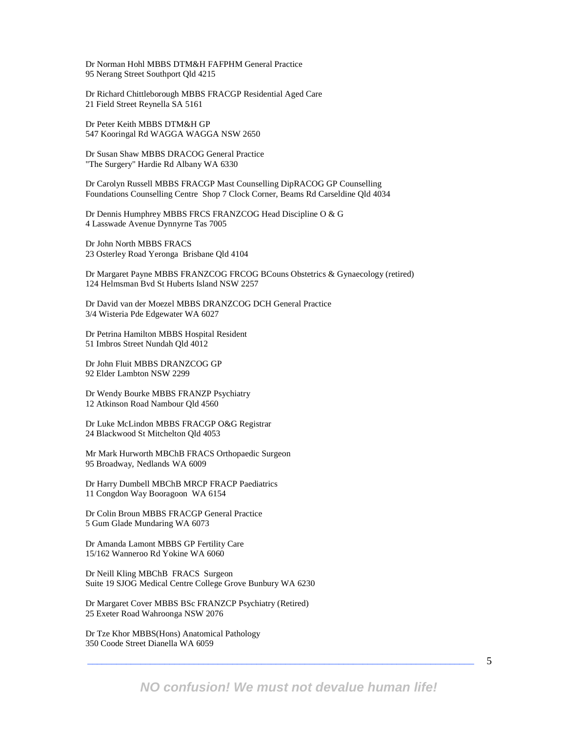Dr Norman Hohl MBBS DTM&H FAFPHM General Practice 95 Nerang Street Southport Qld 4215

Dr Richard Chittleborough MBBS FRACGP Residential Aged Care 21 Field Street Reynella SA 5161

Dr Peter Keith MBBS DTM&H GP 547 Kooringal Rd WAGGA WAGGA NSW 2650

Dr Susan Shaw MBBS DRACOG General Practice "The Surgery" Hardie Rd Albany WA 6330

Dr Carolyn Russell MBBS FRACGP Mast Counselling DipRACOG GP Counselling Foundations Counselling Centre Shop 7 Clock Corner, Beams Rd Carseldine Qld 4034

Dr Dennis Humphrey MBBS FRCS FRANZCOG Head Discipline O & G 4 Lasswade Avenue Dynnyrne Tas 7005

Dr John North MBBS FRACS 23 Osterley Road Yeronga Brisbane Qld 4104

Dr Margaret Payne MBBS FRANZCOG FRCOG BCouns Obstetrics & Gynaecology (retired) 124 Helmsman Bvd St Huberts Island NSW 2257

Dr David van der Moezel MBBS DRANZCOG DCH General Practice 3/4 Wisteria Pde Edgewater WA 6027

Dr Petrina Hamilton MBBS Hospital Resident 51 Imbros Street Nundah Qld 4012

Dr John Fluit MBBS DRANZCOG GP 92 Elder Lambton NSW 2299

Dr Wendy Bourke MBBS FRANZP Psychiatry 12 Atkinson Road Nambour Qld 4560

Dr Luke McLindon MBBS FRACGP O&G Registrar 24 Blackwood St Mitchelton Qld 4053

Mr Mark Hurworth MBChB FRACS Orthopaedic Surgeon 95 Broadway, Nedlands WA 6009

Dr Harry Dumbell MBChB MRCP FRACP Paediatrics 11 Congdon Way Booragoon WA 6154

Dr Colin Broun MBBS FRACGP General Practice 5 Gum Glade Mundaring WA 6073

Dr Amanda Lamont MBBS GP Fertility Care 15/162 Wanneroo Rd Yokine WA 6060

Dr Neill Kling MBChB FRACS Surgeon Suite 19 SJOG Medical Centre College Grove Bunbury WA 6230

Dr Margaret Cover MBBS BSc FRANZCP Psychiatry (Retired) 25 Exeter Road Wahroonga NSW 2076

Dr Tze Khor MBBS(Hons) Anatomical Pathology 350 Coode Street Dianella WA 6059

**NO confusion! We must not devalue human life!**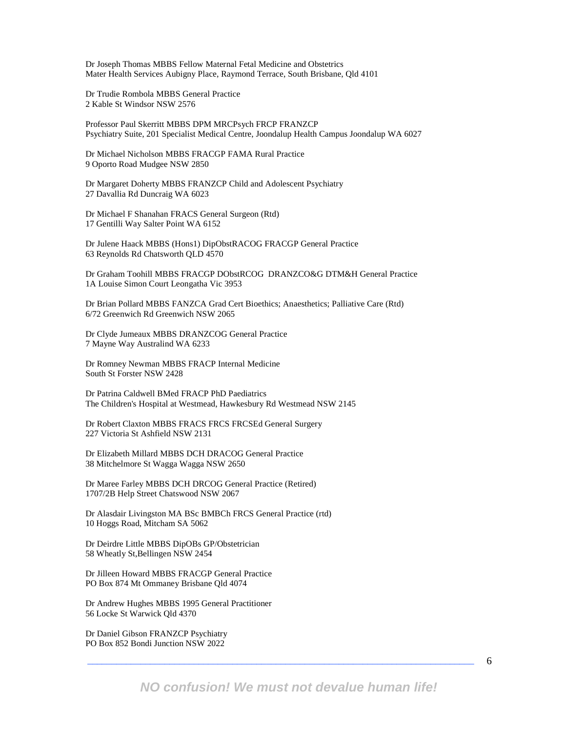Dr Joseph Thomas MBBS Fellow Maternal Fetal Medicine and Obstetrics Mater Health Services Aubigny Place, Raymond Terrace, South Brisbane, Qld 4101

Dr Trudie Rombola MBBS General Practice 2 Kable St Windsor NSW 2576

Professor Paul Skerritt MBBS DPM MRCPsych FRCP FRANZCP Psychiatry Suite, 201 Specialist Medical Centre, Joondalup Health Campus Joondalup WA 6027

Dr Michael Nicholson MBBS FRACGP FAMA Rural Practice 9 Oporto Road Mudgee NSW 2850

Dr Margaret Doherty MBBS FRANZCP Child and Adolescent Psychiatry 27 Davallia Rd Duncraig WA 6023

Dr Michael F Shanahan FRACS General Surgeon (Rtd) 17 Gentilli Way Salter Point WA 6152

Dr Julene Haack MBBS (Hons1) DipObstRACOG FRACGP General Practice 63 Reynolds Rd Chatsworth QLD 4570

Dr Graham Toohill MBBS FRACGP DObstRCOG DRANZCO&G DTM&H General Practice 1A Louise Simon Court Leongatha Vic 3953

Dr Brian Pollard MBBS FANZCA Grad Cert Bioethics; Anaesthetics; Palliative Care (Rtd) 6/72 Greenwich Rd Greenwich NSW 2065

Dr Clyde Jumeaux MBBS DRANZCOG General Practice 7 Mayne Way Australind WA 6233

Dr Romney Newman MBBS FRACP Internal Medicine South St Forster NSW 2428

Dr Patrina Caldwell BMed FRACP PhD Paediatrics The Children's Hospital at Westmead, Hawkesbury Rd Westmead NSW 2145

Dr Robert Claxton MBBS FRACS FRCS FRCSEd General Surgery 227 Victoria St Ashfield NSW 2131

Dr Elizabeth Millard MBBS DCH DRACOG General Practice 38 Mitchelmore St Wagga Wagga NSW 2650

Dr Maree Farley MBBS DCH DRCOG General Practice (Retired) 1707/2B Help Street Chatswood NSW 2067

Dr Alasdair Livingston MA BSc BMBCh FRCS General Practice (rtd) 10 Hoggs Road, Mitcham SA 5062

Dr Deirdre Little MBBS DipOBs GP/Obstetrician 58 Wheatly St,Bellingen NSW 2454

Dr Jilleen Howard MBBS FRACGP General Practice PO Box 874 Mt Ommaney Brisbane Qld 4074

Dr Andrew Hughes MBBS 1995 General Practitioner 56 Locke St Warwick Qld 4370

Dr Daniel Gibson FRANZCP Psychiatry PO Box 852 Bondi Junction NSW 2022

6

**NO confusion! We must not devalue human life!**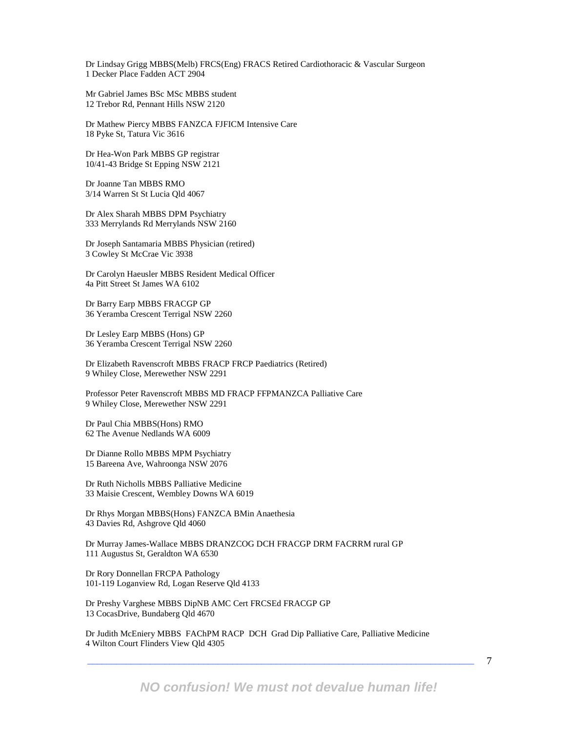Dr Lindsay Grigg MBBS(Melb) FRCS(Eng) FRACS Retired Cardiothoracic & Vascular Surgeon 1 Decker Place Fadden ACT 2904

Mr Gabriel James BSc MSc MBBS student 12 Trebor Rd, Pennant Hills NSW 2120

Dr Mathew Piercy MBBS FANZCA FJFICM Intensive Care 18 Pyke St, Tatura Vic 3616

Dr Hea-Won Park MBBS GP registrar 10/41-43 Bridge St Epping NSW 2121

Dr Joanne Tan MBBS RMO 3/14 Warren St St Lucia Qld 4067

Dr Alex Sharah MBBS DPM Psychiatry 333 Merrylands Rd Merrylands NSW 2160

Dr Joseph Santamaria MBBS Physician (retired) 3 Cowley St McCrae Vic 3938

Dr Carolyn Haeusler MBBS Resident Medical Officer 4a Pitt Street St James WA 6102

Dr Barry Earp MBBS FRACGP GP 36 Yeramba Crescent Terrigal NSW 2260

Dr Lesley Earp MBBS (Hons) GP 36 Yeramba Crescent Terrigal NSW 2260

Dr Elizabeth Ravenscroft MBBS FRACP FRCP Paediatrics (Retired) 9 Whiley Close, Merewether NSW 2291

Professor Peter Ravenscroft MBBS MD FRACP FFPMANZCA Palliative Care 9 Whiley Close, Merewether NSW 2291

Dr Paul Chia MBBS(Hons) RMO 62 The Avenue Nedlands WA 6009

Dr Dianne Rollo MBBS MPM Psychiatry 15 Bareena Ave, Wahroonga NSW 2076

Dr Ruth Nicholls MBBS Palliative Medicine 33 Maisie Crescent, Wembley Downs WA 6019

Dr Rhys Morgan MBBS(Hons) FANZCA BMin Anaethesia 43 Davies Rd, Ashgrove Qld 4060

Dr Murray James-Wallace MBBS DRANZCOG DCH FRACGP DRM FACRRM rural GP 111 Augustus St, Geraldton WA 6530

Dr Rory Donnellan FRCPA Pathology 101-119 Loganview Rd, Logan Reserve Qld 4133

Dr Preshy Varghese MBBS DipNB AMC Cert FRCSEd FRACGP GP 13 CocasDrive, Bundaberg Qld 4670

Dr Judith McEniery MBBS FAChPM RACP DCH Grad Dip Palliative Care, Palliative Medicine 4 Wilton Court Flinders View Qld 4305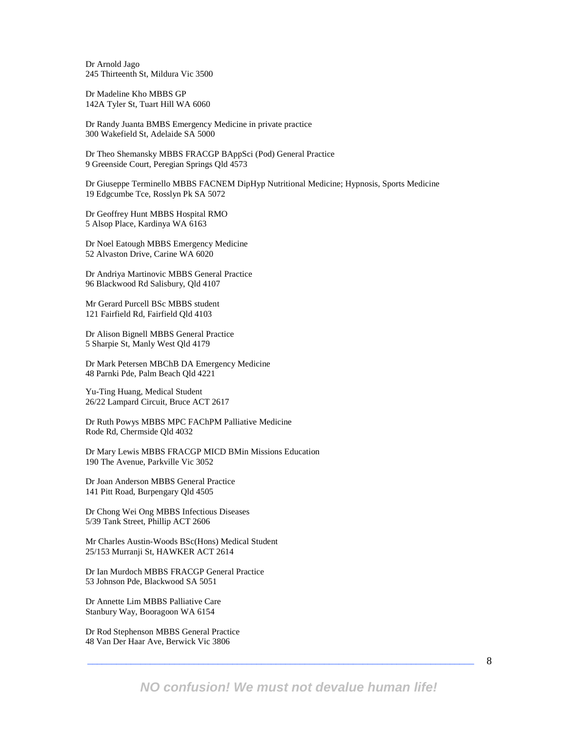Dr Arnold Jago 245 Thirteenth St, Mildura Vic 3500

Dr Madeline Kho MBBS GP 142A Tyler St, Tuart Hill WA 6060

Dr Randy Juanta BMBS Emergency Medicine in private practice 300 Wakefield St, Adelaide SA 5000

Dr Theo Shemansky MBBS FRACGP BAppSci (Pod) General Practice 9 Greenside Court, Peregian Springs Qld 4573

Dr Giuseppe Terminello MBBS FACNEM DipHyp Nutritional Medicine; Hypnosis, Sports Medicine 19 Edgcumbe Tce, Rosslyn Pk SA 5072

Dr Geoffrey Hunt MBBS Hospital RMO 5 Alsop Place, Kardinya WA 6163

Dr Noel Eatough MBBS Emergency Medicine 52 Alvaston Drive, Carine WA 6020

Dr Andriya Martinovic MBBS General Practice 96 Blackwood Rd Salisbury, Qld 4107

Mr Gerard Purcell BSc MBBS student 121 Fairfield Rd, Fairfield Qld 4103

Dr Alison Bignell MBBS General Practice 5 Sharpie St, Manly West Qld 4179

Dr Mark Petersen MBChB DA Emergency Medicine 48 Parnki Pde, Palm Beach Qld 4221

Yu-Ting Huang, Medical Student 26/22 Lampard Circuit, Bruce ACT 2617

Dr Ruth Powys MBBS MPC FAChPM Palliative Medicine Rode Rd, Chermside Qld 4032

Dr Mary Lewis MBBS FRACGP MICD BMin Missions Education 190 The Avenue, Parkville Vic 3052

Dr Joan Anderson MBBS General Practice 141 Pitt Road, Burpengary Qld 4505

Dr Chong Wei Ong MBBS Infectious Diseases 5/39 Tank Street, Phillip ACT 2606

Mr Charles Austin-Woods BSc(Hons) Medical Student 25/153 Murranji St, HAWKER ACT 2614

Dr Ian Murdoch MBBS FRACGP General Practice 53 Johnson Pde, Blackwood SA 5051

Dr Annette Lim MBBS Palliative Care Stanbury Way, Booragoon WA 6154

Dr Rod Stephenson MBBS General Practice 48 Van Der Haar Ave, Berwick Vic 3806

8

**NO confusion! We must not devalue human life!**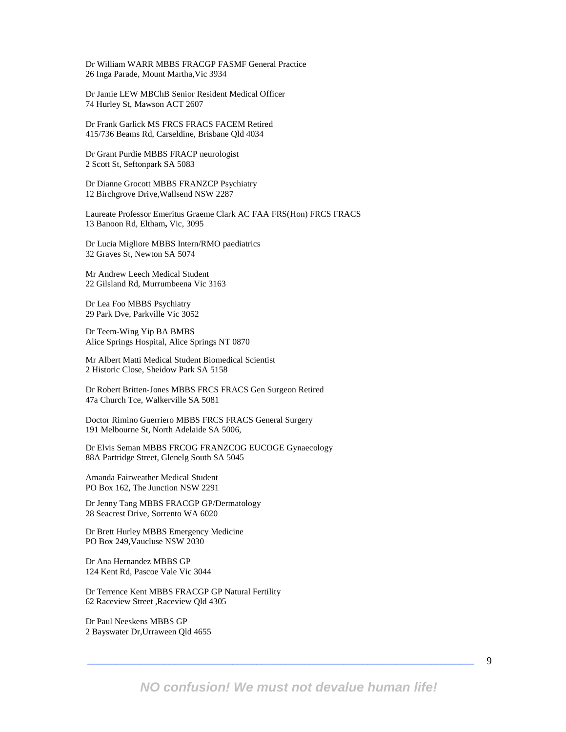Dr William WARR MBBS FRACGP FASMF General Practice 26 Inga Parade, Mount Martha,Vic 3934

Dr Jamie LEW MBChB Senior Resident Medical Officer 74 Hurley St, Mawson ACT 2607

Dr Frank Garlick MS FRCS FRACS FACEM Retired 415/736 Beams Rd, Carseldine, Brisbane Qld 4034

Dr Grant Purdie MBBS FRACP neurologist 2 Scott St, Seftonpark SA 5083

Dr Dianne Grocott MBBS FRANZCP Psychiatry 12 Birchgrove Drive,Wallsend NSW 2287

Laureate Professor Emeritus Graeme Clark AC FAA FRS(Hon) FRCS FRACS 13 Banoon Rd, Eltham**,** Vic, 3095

Dr Lucia Migliore MBBS Intern/RMO paediatrics 32 Graves St, Newton SA 5074

Mr Andrew Leech Medical Student 22 Gilsland Rd, Murrumbeena Vic 3163

Dr Lea Foo MBBS Psychiatry 29 Park Dve, Parkville Vic 3052

Dr Teem-Wing Yip BA BMBS Alice Springs Hospital, Alice Springs NT 0870

Mr Albert Matti Medical Student Biomedical Scientist 2 Historic Close, Sheidow Park SA 5158

Dr Robert Britten-Jones MBBS FRCS FRACS Gen Surgeon Retired 47a Church Tce, Walkerville SA 5081

Doctor Rimino Guerriero MBBS FRCS FRACS General Surgery 191 Melbourne St, North Adelaide SA 5006,

Dr Elvis Seman MBBS FRCOG FRANZCOG EUCOGE Gynaecology 88A Partridge Street, Glenelg South SA 5045

Amanda Fairweather Medical Student PO Box 162, The Junction NSW 2291

Dr Jenny Tang MBBS FRACGP GP/Dermatology 28 Seacrest Drive, Sorrento WA 6020

Dr Brett Hurley MBBS Emergency Medicine PO Box 249,Vaucluse NSW 2030

Dr Ana Hernandez MBBS GP 124 Kent Rd, Pascoe Vale Vic 3044

Dr Terrence Kent MBBS FRACGP GP Natural Fertility 62 Raceview Street ,Raceview Qld 4305

Dr Paul Neeskens MBBS GP 2 Bayswater Dr,Urraween Qld 4655

**NO confusion! We must not devalue human life!**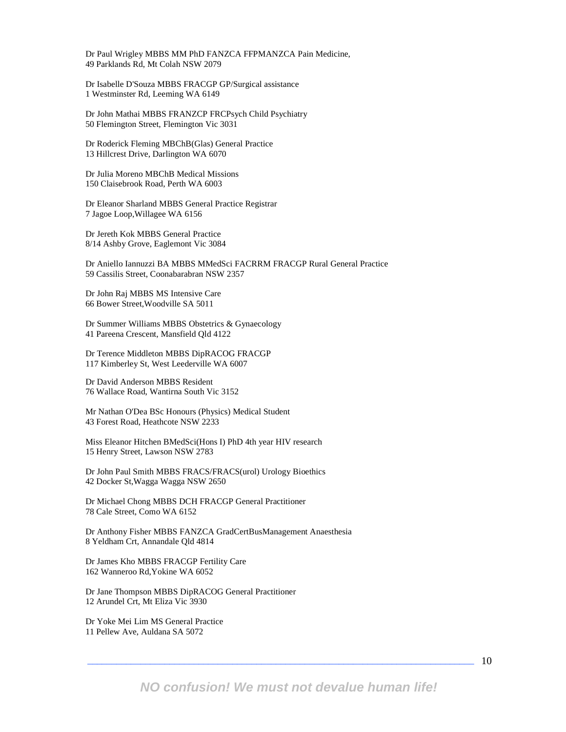Dr Paul Wrigley MBBS MM PhD FANZCA FFPMANZCA Pain Medicine, 49 Parklands Rd, Mt Colah NSW 2079

Dr Isabelle D'Souza MBBS FRACGP GP/Surgical assistance 1 Westminster Rd, Leeming WA 6149

Dr John Mathai MBBS FRANZCP FRCPsych Child Psychiatry 50 Flemington Street, Flemington Vic 3031

Dr Roderick Fleming MBChB(Glas) General Practice 13 Hillcrest Drive, Darlington WA 6070

Dr Julia Moreno MBChB Medical Missions 150 Claisebrook Road, Perth WA 6003

Dr Eleanor Sharland MBBS General Practice Registrar 7 Jagoe Loop,Willagee WA 6156

Dr Jereth Kok MBBS General Practice 8/14 Ashby Grove, Eaglemont Vic 3084

Dr Aniello Iannuzzi BA MBBS MMedSci FACRRM FRACGP Rural General Practice 59 Cassilis Street, Coonabarabran NSW 2357

Dr John Raj MBBS MS Intensive Care 66 Bower Street,Woodville SA 5011

Dr Summer Williams MBBS Obstetrics & Gynaecology 41 Pareena Crescent, Mansfield Qld 4122

Dr Terence Middleton MBBS DipRACOG FRACGP 117 Kimberley St, West Leederville WA 6007

Dr David Anderson MBBS Resident 76 Wallace Road, Wantirna South Vic 3152

Mr Nathan O'Dea BSc Honours (Physics) Medical Student 43 Forest Road, Heathcote NSW 2233

Miss Eleanor Hitchen BMedSci(Hons I) PhD 4th year HIV research 15 Henry Street, Lawson NSW 2783

Dr John Paul Smith MBBS FRACS/FRACS(urol) Urology Bioethics 42 Docker St,Wagga Wagga NSW 2650

Dr Michael Chong MBBS DCH FRACGP General Practitioner 78 Cale Street, Como WA 6152

Dr Anthony Fisher MBBS FANZCA GradCertBusManagement Anaesthesia 8 Yeldham Crt, Annandale Qld 4814

Dr James Kho MBBS FRACGP Fertility Care 162 Wanneroo Rd,Yokine WA 6052

Dr Jane Thompson MBBS DipRACOG General Practitioner 12 Arundel Crt, Mt Eliza Vic 3930

Dr Yoke Mei Lim MS General Practice 11 Pellew Ave, Auldana SA 5072

10

**NO confusion! We must not devalue human life!**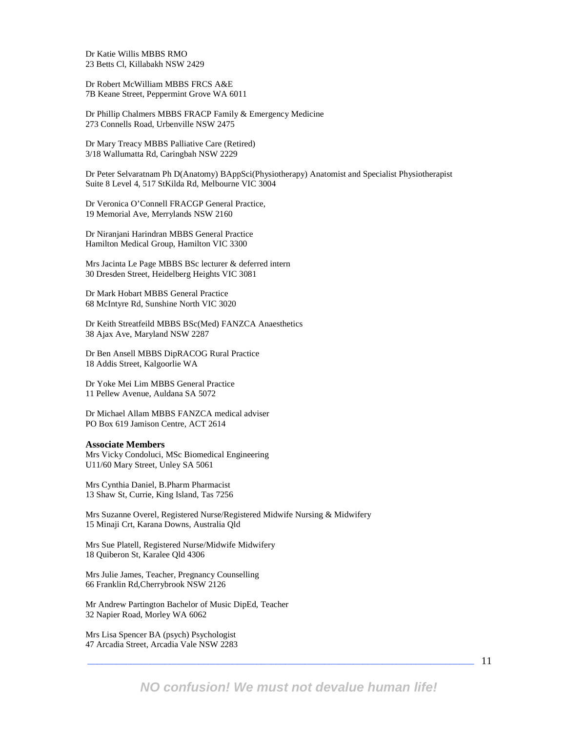Dr Katie Willis MBBS RMO 23 Betts Cl, Killabakh NSW 2429

Dr Robert McWilliam MBBS FRCS A&E 7B Keane Street, Peppermint Grove WA 6011

Dr Phillip Chalmers MBBS FRACP Family & Emergency Medicine 273 Connells Road, Urbenville NSW 2475

Dr Mary Treacy MBBS Palliative Care (Retired) 3/18 Wallumatta Rd, Caringbah NSW 2229

Dr Peter Selvaratnam Ph D(Anatomy) BAppSci(Physiotherapy) Anatomist and Specialist Physiotherapist Suite 8 Level 4, 517 StKilda Rd, Melbourne VIC 3004

Dr Veronica O'Connell FRACGP General Practice, 19 Memorial Ave, Merrylands NSW 2160

Dr Niranjani Harindran MBBS General Practice Hamilton Medical Group, Hamilton VIC 3300

Mrs Jacinta Le Page MBBS BSc lecturer & deferred intern 30 Dresden Street, Heidelberg Heights VIC 3081

Dr Mark Hobart MBBS General Practice 68 McIntyre Rd, Sunshine North VIC 3020

Dr Keith Streatfeild MBBS BSc(Med) FANZCA Anaesthetics 38 Ajax Ave, Maryland NSW 2287

Dr Ben Ansell MBBS DipRACOG Rural Practice 18 Addis Street, Kalgoorlie WA

Dr Yoke Mei Lim MBBS General Practice 11 Pellew Avenue, Auldana SA 5072

Dr Michael Allam MBBS FANZCA medical adviser PO Box 619 Jamison Centre, ACT 2614

#### **Associate Members**

Mrs Vicky Condoluci, MSc Biomedical Engineering U11/60 Mary Street, Unley SA 5061

Mrs Cynthia Daniel, B.Pharm Pharmacist 13 Shaw St, Currie, King Island, Tas 7256

Mrs Suzanne Overel, Registered Nurse/Registered Midwife Nursing & Midwifery 15 Minaji Crt, Karana Downs, Australia Qld

Mrs Sue Platell, Registered Nurse/Midwife Midwifery 18 Quiberon St, Karalee Qld 4306

Mrs Julie James, Teacher, Pregnancy Counselling 66 Franklin Rd,Cherrybrook NSW 2126

Mr Andrew Partington Bachelor of Music DipEd, Teacher 32 Napier Road, Morley WA 6062

Mrs Lisa Spencer BA (psych) Psychologist 47 Arcadia Street, Arcadia Vale NSW 2283

11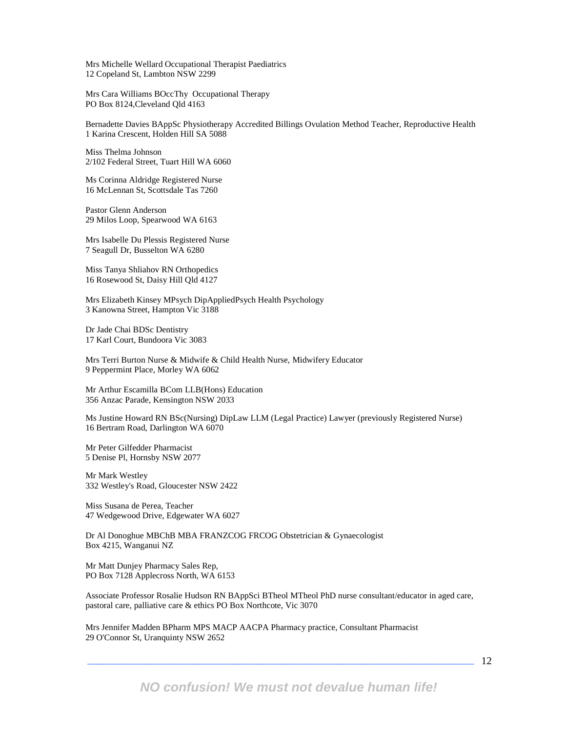Mrs Michelle Wellard Occupational Therapist Paediatrics 12 Copeland St, Lambton NSW 2299

Mrs Cara Williams BOccThy Occupational Therapy PO Box 8124,Cleveland Qld 4163

Bernadette Davies BAppSc Physiotherapy Accredited Billings Ovulation Method Teacher, Reproductive Health 1 Karina Crescent, Holden Hill SA 5088

Miss Thelma Johnson 2/102 Federal Street, Tuart Hill WA 6060

Ms Corinna Aldridge Registered Nurse 16 McLennan St, Scottsdale Tas 7260

Pastor Glenn Anderson 29 Milos Loop, Spearwood WA 6163

Mrs Isabelle Du Plessis Registered Nurse 7 Seagull Dr, Busselton WA 6280

Miss Tanya Shliahov RN Orthopedics 16 Rosewood St, Daisy Hill Qld 4127

Mrs Elizabeth Kinsey MPsych DipAppliedPsych Health Psychology 3 Kanowna Street, Hampton Vic 3188

Dr Jade Chai BDSc Dentistry 17 Karl Court, Bundoora Vic 3083

Mrs Terri Burton Nurse & Midwife & Child Health Nurse, Midwifery Educator 9 Peppermint Place, Morley WA 6062

Mr Arthur Escamilla BCom LLB(Hons) Education 356 Anzac Parade, Kensington NSW 2033

Ms Justine Howard RN BSc(Nursing) DipLaw LLM (Legal Practice) Lawyer (previously Registered Nurse) 16 Bertram Road, Darlington WA 6070

Mr Peter Gilfedder Pharmacist 5 Denise Pl, Hornsby NSW 2077

Mr Mark Westley 332 Westley's Road, Gloucester NSW 2422

Miss Susana de Perea, Teacher 47 Wedgewood Drive, Edgewater WA 6027

Dr Al Donoghue MBChB MBA FRANZCOG FRCOG Obstetrician & Gynaecologist Box 4215, Wanganui NZ

Mr Matt Dunjey Pharmacy Sales Rep, PO Box 7128 Applecross North, WA 6153

Associate Professor Rosalie Hudson RN BAppSci BTheol MTheol PhD nurse consultant/educator in aged care, pastoral care, palliative care & ethics PO Box Northcote, Vic 3070

Mrs Jennifer Madden BPharm MPS MACP AACPA Pharmacy practice, Consultant Pharmacist 29 O'Connor St, Uranquinty NSW 2652